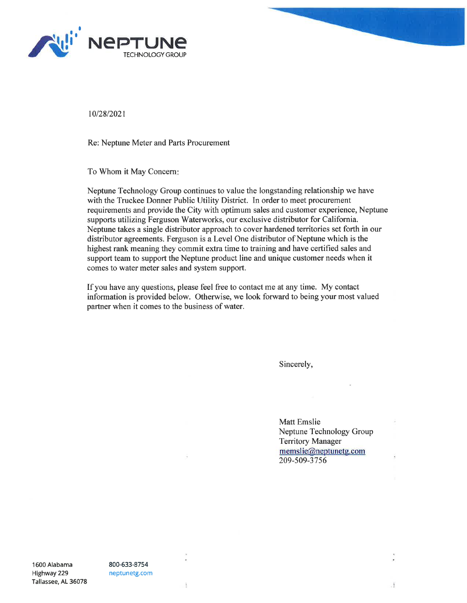



1012812021

Re: Neptune Meter and Parts Procurement

To Whom it May Concern

Neptune Technology Group continues to value the longstanding relationship we have with the Truckee Donner Public Utility District. In order to meet procurement requirements and provide the City with optimum sales and customer experience, Neptune supports utilizing Ferguson Waterworks, our exclusive distributor for California. Neptune takes a single distributor approach to cover hardened territories set forth in our distributor agreements. Ferguson is a Level One distributor of Neptune which is the highest rank meaning they commit extra time to training and have certified sales and support team to support the Neptune product line and unique customer needs when it comes to water meter sales and system support.

If you have any questions, please feel free to contact me at any time. My contact information is provided below. Otherwise, we look forward to being your most valued partner when it comes to the business of water.

Sincerely,

Matt Emslie Neptune Technology Group Territory Manager memslie@neptunetg.com 209-509-3756

1600 Alabama Highway229 Tallassee, AL 36078 800-633-8754 neptunetg.com

 $\mathbf{r}$